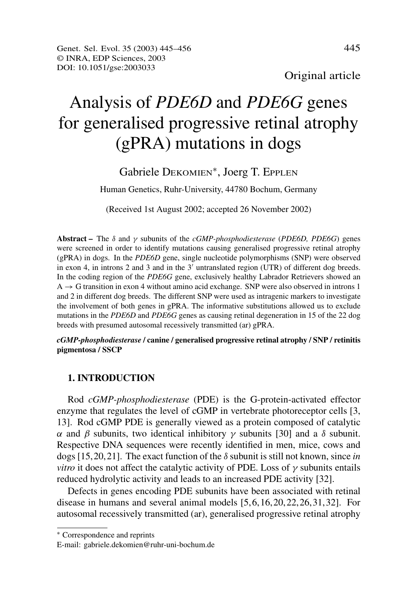Original article

# Analysis of *PDE6D* and *PDE6G* genes for generalised progressive retinal atrophy (gPRA) mutations in dogs

# Gabriele DEKOMIEN<sup>\*</sup>, Joerg T. EPPLEN

Human Genetics, Ruhr-University, 44780 Bochum, Germany

(Received 1st August 2002; accepted 26 November 2002)

**Abstract –** The δ and γ subunits of the *cGMP-phosphodiesterase* (*PDE6D, PDE6G*) genes were screened in order to identify mutations causing generalised progressive retinal atrophy (gPRA) in dogs. In the *PDE6D* gene, single nucleotide polymorphisms (SNP) were observed in exon 4, in introns 2 and 3 and in the  $3'$  untranslated region (UTR) of different dog breeds. In the coding region of the *PDE6G* gene, exclusively healthy Labrador Retrievers showed an  $A \rightarrow G$  transition in exon 4 without amino acid exchange. SNP were also observed in introns 1 and 2 in different dog breeds. The different SNP were used as intragenic markers to investigate the involvement of both genes in gPRA. The informative substitutions allowed us to exclude mutations in the *PDE6D* and *PDE6G* genes as causing retinal degeneration in 15 of the 22 dog breeds with presumed autosomal recessively transmitted (ar) gPRA.

*cGMP-phosphodiesterase* **/ canine / generalised progressive retinal atrophy / SNP / retinitis pigmentosa / SSCP**

## **1. INTRODUCTION**

Rod *cGMP-phosphodiesterase* (PDE) is the G-protein-activated effector enzyme that regulates the level of cGMP in vertebrate photoreceptor cells [3, 13]. Rod cGMP PDE is generally viewed as a protein composed of catalytic α and β subunits, two identical inhibitory  $\gamma$  subunits [30] and a δ subunit. Respective DNA sequences were recently identified in men, mice, cows and dogs [15,20,21]. The exact function of the δ subunit is still not known, since *in vitro* it does not affect the catalytic activity of PDE. Loss of  $\gamma$  subunits entails reduced hydrolytic activity and leads to an increased PDE activity [32].

Defects in genes encoding PDE subunits have been associated with retinal disease in humans and several animal models [5,6,16,20,22,26,31,32]. For autosomal recessively transmitted (ar), generalised progressive retinal atrophy

<sup>∗</sup> Correspondence and reprints

E-mail: gabriele.dekomien@ruhr-uni-bochum.de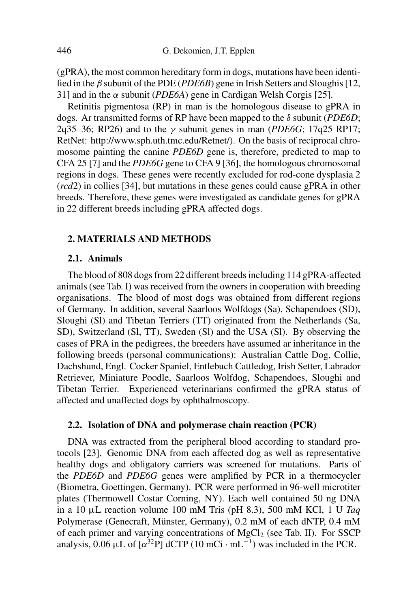(gPRA), the most common hereditary form in dogs, mutations have been identified in the *β* subunit of the PDE (*PDE6B*) gene in Irish Setters and Sloughis [12, 31] and in the  $\alpha$  subunit (*PDE6A*) gene in Cardigan Welsh Corgis [25].

Retinitis pigmentosa (RP) in man is the homologous disease to gPRA in dogs. Ar transmitted forms of RP have been mapped to the δ subunit (*PDE6D*; 2q35–36; RP26) and to the  $\gamma$  subunit genes in man (*PDE6G*; 17q25 RP17; RetNet: http://www.sph.uth.tmc.edu/Retnet/). On the basis of reciprocal chromosome painting the canine *PDE6D* gene is, therefore, predicted to map to CFA 25 [7] and the *PDE6G* gene to CFA 9 [36], the homologous chromosomal regions in dogs. These genes were recently excluded for rod-cone dysplasia 2 (*rcd*2) in collies [34], but mutations in these genes could cause gPRA in other breeds. Therefore, these genes were investigated as candidate genes for gPRA in 22 different breeds including gPRA affected dogs.

## **2. MATERIALS AND METHODS**

## **2.1. Animals**

The blood of 808 dogs from 22 different breeds including 114 gPRA-affected animals(see Tab. I) was received from the owners in cooperation with breeding organisations. The blood of most dogs was obtained from different regions of Germany. In addition, several Saarloos Wolfdogs (Sa), Schapendoes (SD), Sloughi (Sl) and Tibetan Terriers (TT) originated from the Netherlands (Sa, SD), Switzerland (Sl, TT), Sweden (Sl) and the USA (Sl). By observing the cases of PRA in the pedigrees, the breeders have assumed ar inheritance in the following breeds (personal communications): Australian Cattle Dog, Collie, Dachshund, Engl. Cocker Spaniel, Entlebuch Cattledog, Irish Setter, Labrador Retriever, Miniature Poodle, Saarloos Wolfdog, Schapendoes, Sloughi and Tibetan Terrier. Experienced veterinarians confirmed the gPRA status of affected and unaffected dogs by ophthalmoscopy.

### **2.2. Isolation of DNA and polymerase chain reaction (PCR)**

DNA was extracted from the peripheral blood according to standard protocols [23]. Genomic DNA from each affected dog as well as representative healthy dogs and obligatory carriers was screened for mutations. Parts of the *PDE6D* and *PDE6G* genes were amplified by PCR in a thermocycler (Biometra, Goettingen, Germany). PCR were performed in 96-well microtiter plates (Thermowell Costar Corning, NY). Each well contained 50 ng DNA in a 10 µL reaction volume 100 mM Tris (pH 8.3), 500 mM KCl, 1 U *Taq* Polymerase (Genecraft, Münster, Germany), 0.2 mM of each dNTP, 0.4 mM of each primer and varying concentrations of  $MgCl<sub>2</sub>$  (see Tab. II). For SSCP analysis, 0.06  $\mu$ L of  $\left[\alpha^{32}P\right]$  dCTP (10 mCi · mL<sup>-1</sup>) was included in the PCR.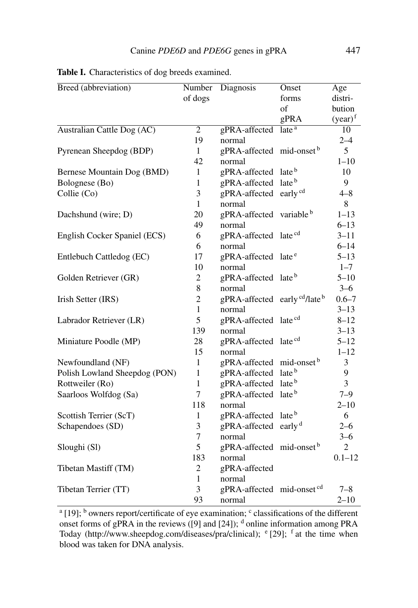| Breed (abbreviation)          | Number           | Diagnosis                                            | Onset                  | Age            |
|-------------------------------|------------------|------------------------------------------------------|------------------------|----------------|
|                               | of dogs          |                                                      | forms                  | distri-        |
|                               |                  |                                                      | of                     | bution         |
|                               |                  |                                                      | gPRA                   | $(year)^f$     |
| Australian Cattle Dog (AC)    | $\overline{2}$   | gPRA-affected                                        | late <sup>a</sup>      | 10             |
|                               | 19               | normal                                               |                        | $2 - 4$        |
| Pyrenean Sheepdog (BDP)       | $\mathbf{1}$     | gPRA-affected mid-onset <sup>b</sup>                 |                        | 5              |
|                               | 42               | normal                                               |                        | $1 - 10$       |
| Bernese Mountain Dog (BMD)    | $\mathbf{1}$     | gPRA-affected late <sup>b</sup>                      |                        | 10             |
| Bolognese (Bo)                | $\mathbf{1}$     | gPRA-affected late <sup>b</sup>                      |                        | 9              |
| Collie (Co)                   | 3                | gPRA-affected early <sup>cd</sup>                    |                        | $4 - 8$        |
|                               | 1                | normal                                               |                        | 8              |
| Dachshund (wire; D)           | 20               | gPRA-affected variable <sup>b</sup>                  |                        | $1 - 13$       |
|                               | 49               | normal                                               |                        | $6 - 13$       |
| English Cocker Spaniel (ECS)  | 6                | gPRA-affected late <sup>cd</sup>                     |                        | $3 - 11$       |
|                               | 6                | normal                                               |                        | $6 - 14$       |
| Entlebuch Cattledog (EC)      | 17               | gPRA-affected late <sup>e</sup>                      |                        | $5 - 13$       |
|                               | 10               | normal                                               |                        | $1 - 7$        |
| Golden Retriever (GR)         | $\mathfrak{2}$   | gPRA-affected late <sup>b</sup>                      |                        | $5 - 10$       |
|                               | 8                | normal                                               |                        | $3 - 6$        |
| Irish Setter (IRS)            | $\overline{2}$   | gPRA-affected early <sup>cd</sup> /late <sup>b</sup> |                        | $0.6 - 7$      |
|                               | $\mathbf{1}$     | normal                                               |                        | $3 - 13$       |
| Labrador Retriever (LR)       | 5                | gPRA-affected late <sup>cd</sup>                     |                        | $8 - 12$       |
|                               | 139              | normal                                               |                        | $3 - 13$       |
| Miniature Poodle (MP)         | 28               | gPRA-affected late <sup>cd</sup>                     |                        | $5 - 12$       |
|                               | 15               | normal                                               |                        | $1 - 12$       |
| Newfoundland (NF)             | $\mathbf{1}$     | gPRA-affected                                        | mid-onset <sup>b</sup> | 3              |
| Polish Lowland Sheepdog (PON) | $\mathbf{1}$     | gPRA-affected                                        | late <sup>b</sup>      | 9              |
| Rottweiler (Ro)               | 1                | gPRA-affected                                        | late <sup>b</sup>      | 3              |
| Saarloos Wolfdog (Sa)         | $\overline{7}$   | gPRA-affected                                        | late <sup>b</sup>      | $7 - 9$        |
|                               | 118              | normal                                               |                        | $2 - 10$       |
| Scottish Terrier (ScT)        | $\mathbf{1}$     | gPRA-affected late <sup>b</sup>                      |                        | 6              |
| Schapendoes (SD)              | 3                | gPRA-affected early <sup>d</sup>                     |                        | $2 - 6$        |
|                               | $\boldsymbol{7}$ | normal                                               |                        | $3 - 6$        |
| Sloughi (Sl)                  | 5                | gPRA-affected mid-onset <sup>b</sup>                 |                        | $\overline{2}$ |
|                               | 183              | normal                                               |                        | $0.1 - 12$     |
| Tibetan Mastiff (TM)          | $\overline{c}$   | gPRA-affected                                        |                        |                |
|                               | 1                | normal                                               |                        |                |
| Tibetan Terrier (TT)          | 3                | gPRA-affected mid-onset <sup>cd</sup>                |                        | $7 - 8$        |
|                               | 93               | normal                                               |                        | $2 - 10$       |

**Table I.** Characteristics of dog breeds examined.

<sup>a</sup> [19]; <sup>b</sup> owners report/certificate of eye examination;  $\cdot$  classifications of the different onset forms of gPRA in the reviews ([9] and [24]);  $<sup>d</sup>$  online information among PRA</sup> Today (http://www.sheepdog.com/diseases/pra/clinical); <sup>e</sup> [29]; <sup>f</sup> at the time when blood was taken for DNA analysis.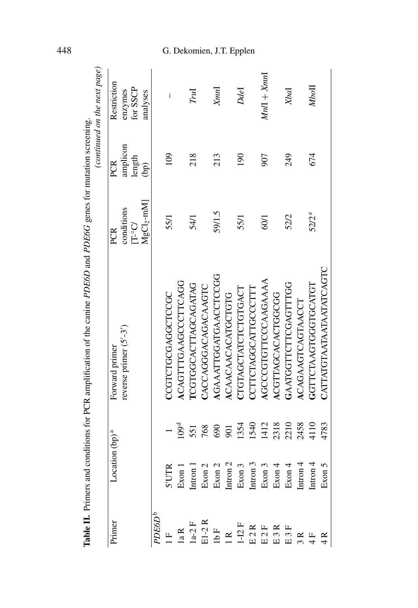| Table II. Primers and     |                            |                  | conditions for PCR amplification of the canine PDE6D and PDE6G genes for mutation screening. |                                                                     |                                 | (continued on the next page)                   |
|---------------------------|----------------------------|------------------|----------------------------------------------------------------------------------------------|---------------------------------------------------------------------|---------------------------------|------------------------------------------------|
| Primer                    | Location (bp) <sup>a</sup> |                  | reverse primer $(5' -3')$<br>Forward primer                                                  | ${ {\rm MgCl}_2\text{-}mM} ]$<br>conditions<br>$D^{\circ}CD$<br>PCR | amplicon<br>length<br>PCR<br>වි | Restriction<br>for SSCP<br>enzymes<br>analyses |
| PDE6D <sup>b</sup>        |                            |                  |                                                                                              |                                                                     |                                 |                                                |
| $\mathbb{E}$              | $5^{\prime} \mathrm{UTR}$  |                  | <b>CCGLCLCGGGCLCCCC</b>                                                                      | 55/1                                                                | 109                             | I                                              |
| 1a R                      | Exon                       | 109 <sup>d</sup> | ACAGITIGAAGCCTICAGG                                                                          |                                                                     |                                 |                                                |
| $1a-2$ F                  | Intron                     | 551              | <b>OKROKUDALIJKUDULULI</b>                                                                   | 54/1                                                                | 218                             | Гrы                                            |
| $E1-2R$                   | Exon <sup>2</sup>          | 768              | CACCAGGACAGACAAGTC                                                                           |                                                                     |                                 |                                                |
| $1\mathrm{b}\,\mathrm{F}$ | Exon?                      | 690              | AGAAATTGGATGAACCTCCG                                                                         | 59/1.5                                                              | 213                             | $_{XnnI}$                                      |
| 1R                        | $\mathbf 2$<br>Intron      | 901              | ACAACAACATGCTG                                                                               |                                                                     |                                 |                                                |
| $1-12$ F                  | Exon:                      | 1354             | CTGTAGCTATCTGTGACT                                                                           | 55/1                                                                | 190                             | Ddel                                           |
| E <sub>2</sub> R          | Intron                     | 1540             | CCTTCTAGGCATTGCCTTT                                                                          |                                                                     |                                 |                                                |
| E 2F                      | 3<br>Exon:                 | 1412             | AGCCCGTGTTCCCAAGAAAA                                                                         | 60/1                                                                | 907                             | $MnI + XnnI$                                   |
| E3R                       | 4<br>Exon <sup>4</sup>     | 2318             | ACGENACACACHEDU                                                                              |                                                                     |                                 |                                                |
| E3F                       | 4<br>Exon -                | 2210             | GAATGCTTCLETTCG                                                                              | 52/2                                                                | 249                             | XbaI                                           |
|                           | 4<br>Intron                | 2458             | <b>ACAGAAGTCAGTAACCT</b>                                                                     |                                                                     |                                 |                                                |
|                           | 4<br>Intron                | 4110             | <b>GUNDOODOKALULOU</b>                                                                       | 52/2 <sup>e</sup>                                                   | 674                             | MboII                                          |
|                           | Exon 5                     | 4783             | CATTATGTAATAATAATCAGTC                                                                       |                                                                     |                                 |                                                |

## 448 G. Dekomien, J.T . Epplen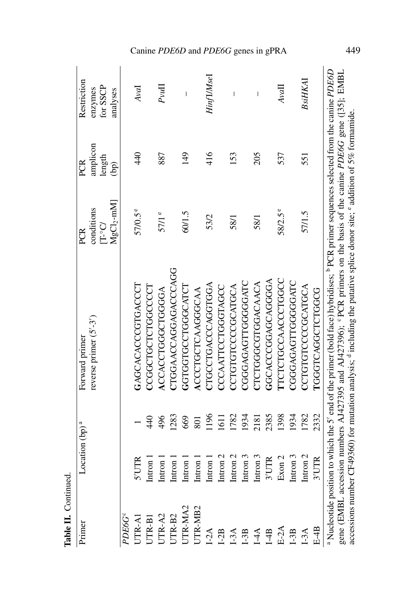| Primer        | Location (bp) <sup>a</sup> |      | Forward primer                                                                                                                                                     | PCR           | PCR      | Restriction                                                                                                                                                                                                                                                                                                                                                                      |
|---------------|----------------------------|------|--------------------------------------------------------------------------------------------------------------------------------------------------------------------|---------------|----------|----------------------------------------------------------------------------------------------------------------------------------------------------------------------------------------------------------------------------------------------------------------------------------------------------------------------------------------------------------------------------------|
|               |                            |      | reverse primer $(5' - 3')$                                                                                                                                         | conditions    | amplicon | enzymes                                                                                                                                                                                                                                                                                                                                                                          |
|               |                            |      |                                                                                                                                                                    | $D^{\circ}CD$ | length   | for SSCP                                                                                                                                                                                                                                                                                                                                                                         |
|               |                            |      |                                                                                                                                                                    | $MgCl2-mM$    | ම        | analyses                                                                                                                                                                                                                                                                                                                                                                         |
| PDE6G°        |                            |      |                                                                                                                                                                    |               |          |                                                                                                                                                                                                                                                                                                                                                                                  |
| <b>JTR-A1</b> | 色<br>$5'$ UT               |      | GAGCACACCGTGACCT                                                                                                                                                   | 57/0.5e       | 40       | AvaI                                                                                                                                                                                                                                                                                                                                                                             |
| <b>JTR-B1</b> | Intron 1                   | 440  | <b>CCGGCTGCTGGCCCT</b>                                                                                                                                             |               |          |                                                                                                                                                                                                                                                                                                                                                                                  |
| JTR-A2        | Intron 1                   | 496  | <b>ACCACCIGGIOGGGA</b>                                                                                                                                             | $57/1$ e      | 887      | $Pv$ l $\Pi$                                                                                                                                                                                                                                                                                                                                                                     |
| JTR-B2        | Intron                     | 1283 | CTGCAGGAGGOGGOG                                                                                                                                                    |               |          |                                                                                                                                                                                                                                                                                                                                                                                  |
| JTR-MA2       | Intron                     | 669  | <b>LURUGGULUGLUEG</b>                                                                                                                                              | 60/1.5        | 149      | $\begin{array}{c} \rule{0pt}{2.5ex} \rule{0pt}{2.5ex} \rule{0pt}{2.5ex} \rule{0pt}{2.5ex} \rule{0pt}{2.5ex} \rule{0pt}{2.5ex} \rule{0pt}{2.5ex} \rule{0pt}{2.5ex} \rule{0pt}{2.5ex} \rule{0pt}{2.5ex} \rule{0pt}{2.5ex} \rule{0pt}{2.5ex} \rule{0pt}{2.5ex} \rule{0pt}{2.5ex} \rule{0pt}{2.5ex} \rule{0pt}{2.5ex} \rule{0pt}{2.5ex} \rule{0pt}{2.5ex} \rule{0pt}{2.5ex} \rule{0$ |
| JTR-MB2       | Intron                     | 801  | ACCCTGCTCAAGGGCAA                                                                                                                                                  |               |          |                                                                                                                                                                                                                                                                                                                                                                                  |
| $I-2A$        | Intron                     | 1196 | <b>CTGCCTGACCAGGTGGA</b>                                                                                                                                           | 53/2          | 416      | HinfIMseI                                                                                                                                                                                                                                                                                                                                                                        |
| $I-2B$        | Intron <sub>2</sub>        | 1611 | CCAATTCGGTAGCC                                                                                                                                                     |               |          |                                                                                                                                                                                                                                                                                                                                                                                  |
| $I-3A$        | Intron <sub>2</sub>        | 1782 | CCTGTGTCCCGCATGCA                                                                                                                                                  | 58/1          | 153      | I                                                                                                                                                                                                                                                                                                                                                                                |
| $I-3B$        | Intron 3                   | 1934 | URGGGGGETURGGGGG                                                                                                                                                   |               |          |                                                                                                                                                                                                                                                                                                                                                                                  |
| $1-4A$        | Intron 3                   | 2181 | <b><i>CTCTGGCGTGACAACA</i></b>                                                                                                                                     | 58/1          | 205      | $\mathsf I$                                                                                                                                                                                                                                                                                                                                                                      |
| 14B           | 3'UTR                      | 2385 | GGCACCGGAGCAGGGA                                                                                                                                                   |               |          |                                                                                                                                                                                                                                                                                                                                                                                  |
| $E-2A$        | $\overline{2}$<br>Exon     | 1398 | <b>LICLOSCONS</b>                                                                                                                                                  | 58/2.5°       | 537      | $Ava\Pi$                                                                                                                                                                                                                                                                                                                                                                         |
| $I-3B$        | Intron 3                   | 1934 | CGGGGGGAGKAGGGGG                                                                                                                                                   |               |          |                                                                                                                                                                                                                                                                                                                                                                                  |
| $1-3A$        | Intron $2$                 | 1782 | CCTGTGCCCGCATGCA                                                                                                                                                   | 57/1.5        | 551      | BsiHKAI                                                                                                                                                                                                                                                                                                                                                                          |
| $E-4B$        | 色<br>$3'$ UT               | 2332 | <b>COODLOLOGYOLOGIE</b>                                                                                                                                            |               |          |                                                                                                                                                                                                                                                                                                                                                                                  |
|               |                            |      | <sup>a</sup> Nucleotide position to which the 5' end of the primer (bold face) hybridises; <sup>b</sup> PCR primer sequences selected from the canine <i>PDE6D</i> |               |          |                                                                                                                                                                                                                                                                                                                                                                                  |
|               |                            |      | gene (EMBL accession numbers AJ427395 and AJ427396); °PCR primers on the basis of the canine <i>PDE6G</i> gene ([35]; EMBL                                         |               |          |                                                                                                                                                                                                                                                                                                                                                                                  |
|               |                            |      | accessions number CF49360) for mutation analysis; <sup>d</sup> including the putative splice donor site; <sup>e</sup> addition of 5% formamide.                    |               |          |                                                                                                                                                                                                                                                                                                                                                                                  |

**Table II.** Continued.

Table II. Continued.

## Canine *PDE6D* and *PDE6G* genes in gPRA 449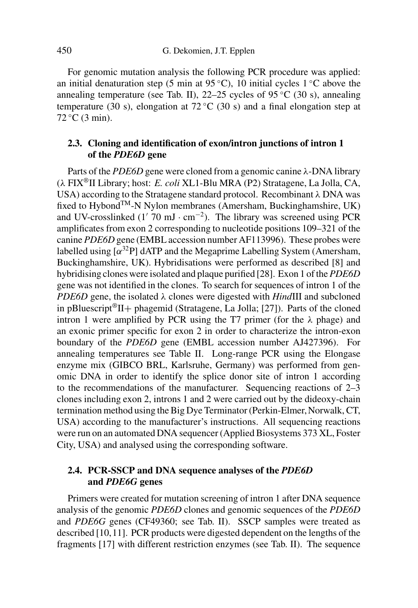For genomic mutation analysis the following PCR procedure was applied: an initial denaturation step (5 min at 95 °C), 10 initial cycles  $1 \degree$ C above the annealing temperature (see Tab. II), 22–25 cycles of 95 °C (30 s), annealing temperature (30 s), elongation at  $72 \degree C$  (30 s) and a final elongation step at  $72 °C$  (3 min).

## **2.3. Cloning and identification of exon/intron junctions of intron 1 of the** *PDE6D* **gene**

Parts of the *PDE6D* gene were cloned from a genomic canine λ-DNA library (λ FIX®II Library; host: *E. coli* XL1-Blu MRA (P2) Stratagene, La Jolla, CA, USA) according to the Stratagene standard protocol. Recombinant  $\lambda$  DNA was fixed to Hybond<sup>TM</sup>-N Nylon membranes (Amersham, Buckinghamshire, UK) and UV-crosslinked  $(1'$  70 mJ $\cdot$  cm<sup>-2</sup>). The library was screened using PCR amplificates from exon 2 corresponding to nucleotide positions 109–321 of the canine *PDE6D* gene (EMBL accession number AF113996). These probes were labelled using  $\lbrack \alpha^{32}P \rbrack$  dATP and the Megaprime Labelling System (Amersham, Buckinghamshire, UK). Hybridisations were performed as described [8] and hybridising clones were isolated and plaque purified [28]. Exon 1 of the *PDE6D* gene was not identified in the clones. To search for sequences of intron 1 of the *PDE6D* gene, the isolated λ clones were digested with *HindIII* and subcloned in pBluescript<sup>®</sup>II+ phagemid (Stratagene, La Jolla; [27]). Parts of the cloned intron 1 were amplified by PCR using the T7 primer (for the  $\lambda$  phage) and an exonic primer specific for exon 2 in order to characterize the intron-exon boundary of the *PDE6D* gene (EMBL accession number AJ427396). For annealing temperatures see Table II. Long-range PCR using the Elongase enzyme mix (GIBCO BRL, Karlsruhe, Germany) was performed from genomic DNA in order to identify the splice donor site of intron 1 according to the recommendations of the manufacturer. Sequencing reactions of 2–3 clones including exon 2, introns 1 and 2 were carried out by the dideoxy-chain termination method using the Big Dye Terminator (Perkin-Elmer, Norwalk, CT, USA) according to the manufacturer's instructions. All sequencing reactions were run on an automated DNA sequencer(Applied Biosystems 373 XL, Foster City, USA) and analysed using the corresponding software.

## **2.4. PCR-SSCP and DNA sequence analyses of the** *PDE6D* **and** *PDE6G* **genes**

Primers were created for mutation screening of intron 1 after DNA sequence analysis of the genomic *PDE6D* clones and genomic sequences of the *PDE6D* and *PDE6G* genes (CF49360; see Tab. II). SSCP samples were treated as described [10,11]. PCR products were digested dependent on the lengths of the fragments [17] with different restriction enzymes (see Tab. II). The sequence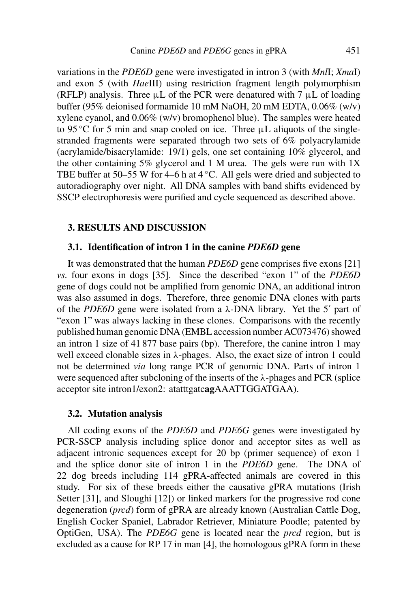variations in the *PDE6D* gene were investigated in intron 3 (with *Mnl*I; *Xma*I) and exon 5 (with *Hae*III) using restriction fragment length polymorphism (RFLP) analysis. Three  $\mu$ L of the PCR were denatured with 7  $\mu$ L of loading buffer (95% deionised formamide 10 mM NaOH, 20 mM EDTA, 0.06% (w/v) xylene cyanol, and 0.06% (w/v) bromophenol blue). The samples were heated to 95 °C for 5 min and snap cooled on ice. Three  $\mu$ L aliquots of the singlestranded fragments were separated through two sets of 6% polyacrylamide (acrylamide/bisacrylamide: 19/1) gels, one set containing 10% glycerol, and the other containing  $5\%$  glycerol and 1 M urea. The gels were run with  $1X$ TBE buffer at 50–55 W for 4–6 h at 4 ◦C. All gels were dried and subjected to autoradiography over night. All DNA samples with band shifts evidenced by SSCP electrophoresis were purified and cycle sequenced as described above.

## **3. RESULTS AND DISCUSSION**

## **3.1. Identification of intron 1 in the canine** *PDE6D* **gene**

It was demonstrated that the human *PDE6D* gene comprises five exons [21] *vs.* four exons in dogs [35]. Since the described "exon 1" of the *PDE6D* gene of dogs could not be amplified from genomic DNA, an additional intron was also assumed in dogs. Therefore, three genomic DNA clones with parts of the *PDE6D* gene were isolated from a λ-DNA library. Yet the 5' part of "exon 1" was always lacking in these clones. Comparisons with the recently published human genomic DNA (EMBL accession number AC073476) showed an intron 1 size of 41 877 base pairs (bp). Therefore, the canine intron 1 may well exceed clonable sizes in  $\lambda$ -phages. Also, the exact size of intron 1 could not be determined *via* long range PCR of genomic DNA. Parts of intron 1 were sequenced after subcloning of the inserts of the  $\lambda$ -phages and PCR (splice acceptor site intron1/exon2: atatttgatc**ag**AAATTGGATGAA).

## **3.2. Mutation analysis**

All coding exons of the *PDE6D* and *PDE6G* genes were investigated by PCR-SSCP analysis including splice donor and acceptor sites as well as adjacent intronic sequences except for 20 bp (primer sequence) of exon 1 and the splice donor site of intron 1 in the *PDE6D* gene. The DNA of 22 dog breeds including 114 gPRA-affected animals are covered in this study. For six of these breeds either the causative gPRA mutations (Irish Setter [31], and Sloughi [12]) or linked markers for the progressive rod cone degeneration (*prcd*) form of gPRA are already known (Australian Cattle Dog, English Cocker Spaniel, Labrador Retriever, Miniature Poodle; patented by OptiGen, USA). The *PDE6G* gene is located near the *prcd* region, but is excluded as a cause for RP 17 in man [4], the homologous gPRA form in these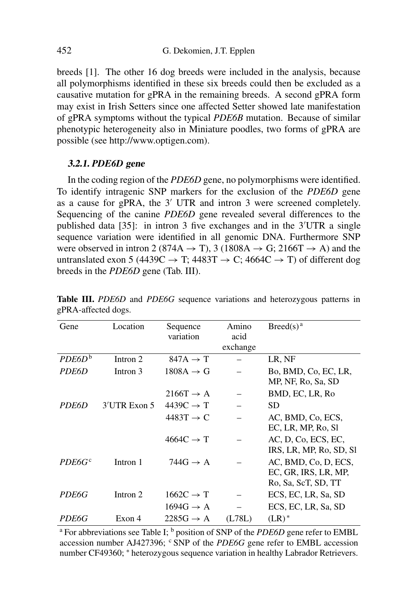breeds [1]. The other 16 dog breeds were included in the analysis, because all polymorphisms identified in these six breeds could then be excluded as a causative mutation for gPRA in the remaining breeds. A second gPRA form may exist in Irish Setters since one affected Setter showed late manifestation of gPRA symptoms without the typical *PDE6B* mutation. Because of similar phenotypic heterogeneity also in Miniature poodles, two forms of gPRA are possible (see http://www.optigen.com).

## **3.2.1.** *PDE6D* **gene**

In the coding region of the *PDE6D* gene, no polymorphisms were identified. To identify intragenic SNP markers for the exclusion of the *PDE6D* gene as a cause for gPRA, the 3' UTR and intron 3 were screened completely. Sequencing of the canine *PDE6D* gene revealed several differences to the published data [35]: in intron 3 five exchanges and in the 3'UTR a single sequence variation were identified in all genomic DNA. Furthermore SNP were observed in intron 2 (874A  $\rightarrow$  T), 3 (1808A  $\rightarrow$  G; 2166T  $\rightarrow$  A) and the untranslated exon 5 (4439C  $\rightarrow$  T; 4483T  $\rightarrow$  C; 4664C  $\rightarrow$  T) of different dog breeds in the *PDE6D* gene (Tab. III).

| Gene               | Location        | Sequence<br>variation | Amino<br>acid | Breed(s) <sup>a</sup>   |
|--------------------|-----------------|-----------------------|---------------|-------------------------|
|                    |                 |                       | exchange      |                         |
| PDE6D <sup>b</sup> | Intron 2        | $847A \rightarrow T$  |               | LR, NF                  |
| PDE6D              | Intron 3        | $1808A \rightarrow G$ |               | Bo, BMD, Co, EC, LR,    |
|                    |                 |                       |               | MP, NF, Ro, Sa, SD      |
|                    |                 | $2166T \rightarrow A$ |               | BMD, EC, LR, Ro         |
| PDE6D              | $3'$ UTR Exon 5 | $4439C \rightarrow T$ |               | <b>SD</b>               |
|                    |                 | $4483T \rightarrow C$ |               | AC, BMD, Co, ECS,       |
|                    |                 |                       |               | EC, LR, MP, Ro, Sl      |
|                    |                 | $4664C \rightarrow T$ |               | AC, D, Co, ECS, EC,     |
|                    |                 |                       |               | IRS, LR, MP, Ro, SD, Sl |
| PDE6G <sup>c</sup> | Intron 1        | $744G \rightarrow A$  |               | AC, BMD, Co, D, ECS,    |
|                    |                 |                       |               | EC, GR, IRS, LR, MP,    |
|                    |                 |                       |               | Ro, Sa, ScT, SD, TT     |
| PDE6G              | Intron 2        | $1662C \rightarrow T$ |               | ECS, EC, LR, Sa, SD     |
|                    |                 | $1694G \rightarrow A$ |               | ECS, EC, LR, Sa, SD     |
| <i>PDE6G</i>       | Exon 4          | $2285G \rightarrow A$ | (L78L)        | $(LR)^*$                |

**Table III.** *PDE6D* and *PDE6G* sequence variations and heterozygous patterns in gPRA-affected dogs.

<sup>a</sup> For abbreviations see Table I; <sup>b</sup> position of SNP of the *PDE6D* gene refer to EMBL accession number AJ427396;  $\circ$  SNP of the *PDE6G* gene refer to EMBL accession number CF49360; \* heterozygous sequence variation in healthy Labrador Retrievers.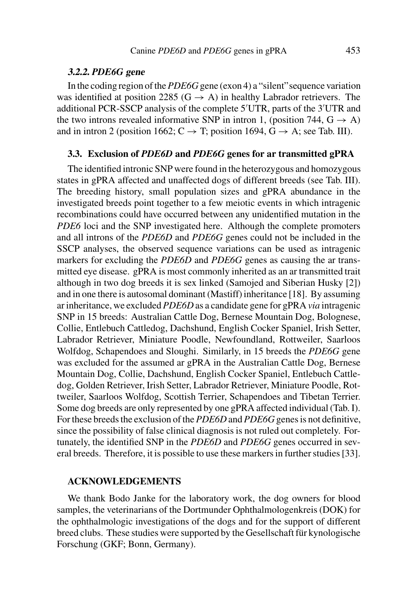#### **3.2.2.** *PDE6G* **gene**

In the coding region of the *PDE6G* gene (exon 4) a "silent" sequence variation was identified at position 2285 (G  $\rightarrow$  A) in healthy Labrador retrievers. The additional PCR-SSCP analysis of the complete 5'UTR, parts of the 3'UTR and the two introns revealed informative SNP in intron 1, (position 744,  $G \rightarrow A$ ) and in intron 2 (position 1662;  $C \rightarrow T$ ; position 1694,  $G \rightarrow A$ ; see Tab. III).

## **3.3. Exclusion of** *PDE6D* **and** *PDE6G* **genes for ar transmitted gPRA**

The identified intronic SNP were found in the heterozygous and homozygous states in gPRA affected and unaffected dogs of different breeds (see Tab. III). The breeding history, small population sizes and gPRA abundance in the investigated breeds point together to a few meiotic events in which intragenic recombinations could have occurred between any unidentified mutation in the *PDE6* loci and the SNP investigated here. Although the complete promoters and all introns of the *PDE6D* and *PDE6G* genes could not be included in the SSCP analyses, the observed sequence variations can be used as intragenic markers for excluding the *PDE6D* and *PDE6G* genes as causing the ar transmitted eye disease. gPRA is most commonly inherited as an ar transmitted trait although in two dog breeds it is sex linked (Samojed and Siberian Husky [2]) and in one there is autosomal dominant (Mastiff) inheritance [18]. By assuming arinheritance, we excluded *PDE6D* as a candidate gene for gPRA *via* intragenic SNP in 15 breeds: Australian Cattle Dog, Bernese Mountain Dog, Bolognese, Collie, Entlebuch Cattledog, Dachshund, English Cocker Spaniel, Irish Setter, Labrador Retriever, Miniature Poodle, Newfoundland, Rottweiler, Saarloos Wolfdog, Schapendoes and Sloughi. Similarly, in 15 breeds the *PDE6G* gene was excluded for the assumed ar gPRA in the Australian Cattle Dog, Bernese Mountain Dog, Collie, Dachshund, English Cocker Spaniel, Entlebuch Cattledog, Golden Retriever, Irish Setter, Labrador Retriever, Miniature Poodle, Rottweiler, Saarloos Wolfdog, Scottish Terrier, Schapendoes and Tibetan Terrier. Some dog breeds are only represented by one gPRA affected individual (Tab. I). For these breeds the exclusion of the *PDE6D* and *PDE6G* genes is not definitive, since the possibility of false clinical diagnosis is not ruled out completely. Fortunately, the identified SNP in the *PDE6D* and *PDE6G* genes occurred in several breeds. Therefore, it is possible to use these markers in further studies [33].

## **ACKNOWLEDGEMENTS**

We thank Bodo Janke for the laboratory work, the dog owners for blood samples, the veterinarians of the Dortmunder Ophthalmologenkreis (DOK) for the ophthalmologic investigations of the dogs and for the support of different breed clubs. These studies were supported by the Gesellschaft für kynologische Forschung (GKF; Bonn, Germany).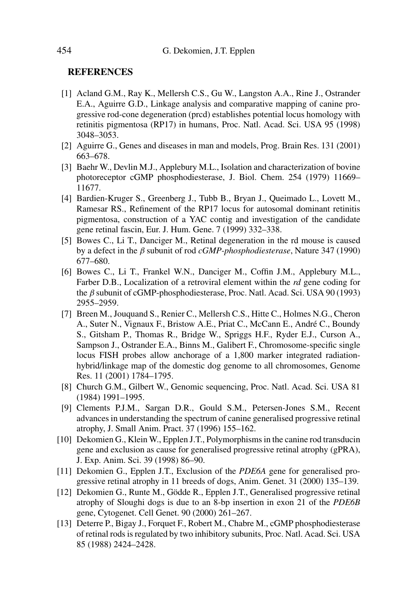#### **REFERENCES**

- [1] Acland G.M., Ray K., Mellersh C.S., Gu W., Langston A.A., Rine J., Ostrander E.A., Aguirre G.D., Linkage analysis and comparative mapping of canine progressive rod-cone degeneration (prcd) establishes potential locus homology with retinitis pigmentosa (RP17) in humans, Proc. Natl. Acad. Sci. USA 95 (1998) 3048–3053.
- [2] Aguirre G., Genes and diseases in man and models, Prog. Brain Res. 131 (2001) 663–678.
- [3] Baehr W., Devlin M.J., Applebury M.L., Isolation and characterization of bovine photoreceptor cGMP phosphodiesterase, J. Biol. Chem. 254 (1979) 11669– 11677.
- [4] Bardien-Kruger S., Greenberg J., Tubb B., Bryan J., Queimado L., Lovett M., Ramesar RS., Refinement of the RP17 locus for autosomal dominant retinitis pigmentosa, construction of a YAC contig and investigation of the candidate gene retinal fascin, Eur. J. Hum. Gene. 7 (1999) 332–338.
- [5] Bowes C., Li T., Danciger M., Retinal degeneration in the rd mouse is caused by a defect in the β subunit of rod *cGMP-phosphodiesterase*, Nature 347 (1990) 677–680.
- [6] Bowes C., Li T., Frankel W.N., Danciger M., Coffin J.M., Applebury M.L., Farber D.B., Localization of a retroviral element within the *rd* gene coding for the β subunit of cGMP-phosphodiesterase, Proc. Natl. Acad. Sci. USA 90 (1993) 2955–2959.
- [7] Breen M., Jouquand S., Renier C., Mellersh C.S., Hitte C., Holmes N.G., Cheron A., Suter N., Vignaux F., Bristow A.E., Priat C., McCann E., André C., Boundy S., Gitsham P., Thomas R., Bridge W., Spriggs H.F., Ryder E.J., Curson A., Sampson J., Ostrander E.A., Binns M., Galibert F., Chromosome-specific single locus FISH probes allow anchorage of a 1,800 marker integrated radiationhybrid/linkage map of the domestic dog genome to all chromosomes, Genome Res. 11 (2001) 1784–1795.
- [8] Church G.M., Gilbert W., Genomic sequencing, Proc. Natl. Acad. Sci. USA 81 (1984) 1991–1995.
- [9] Clements P.J.M., Sargan D.R., Gould S.M., Petersen-Jones S.M., Recent advances in understanding the spectrum of canine generalised progressive retinal atrophy, J. Small Anim. Pract. 37 (1996) 155–162.
- [10] Dekomien G., Klein W., Epplen J.T., Polymorphisms in the canine rod transducin gene and exclusion as cause for generalised progressive retinal atrophy (gPRA), J. Exp. Anim. Sci. 39 (1998) 86–90.
- [11] Dekomien G., Epplen J.T., Exclusion of the *PDE6A* gene for generalised progressive retinal atrophy in 11 breeds of dogs, Anim. Genet. 31 (2000) 135–139.
- [12] Dekomien G., Runte M., Gödde R., Epplen J.T., Generalised progressive retinal atrophy of Sloughi dogs is due to an 8-bp insertion in exon 21 of the *PDE6B* gene, Cytogenet. Cell Genet. 90 (2000) 261–267.
- [13] Deterre P., Bigay J., Forquet F., Robert M., Chabre M., cGMP phosphodiesterase of retinal rodsisregulated by two inhibitory subunits, Proc. Natl. Acad. Sci. USA 85 (1988) 2424–2428.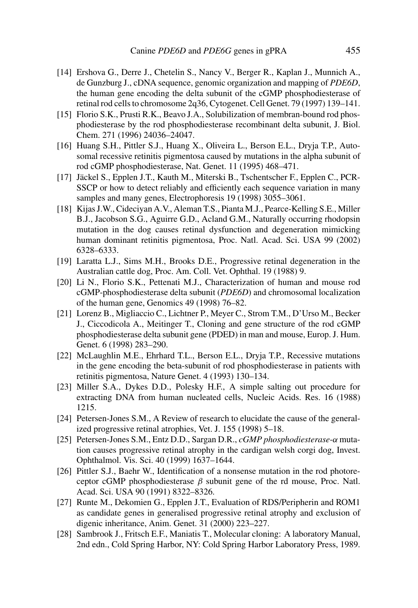- [14] Ershova G., Derre J., Chetelin S., Nancy V., Berger R., Kaplan J., Munnich A., de Gunzburg J., cDNA sequence, genomic organization and mapping of *PDE6D*, the human gene encoding the delta subunit of the cGMP phosphodiesterase of retinal rod cells to chromosome 2q36, Cytogenet. Cell Genet. 79 (1997) 139-141.
- [15] Florio S.K., Prusti R.K., Beavo J.A., Solubilization of membran-bound rod phosphodiesterase by the rod phosphodiesterase recombinant delta subunit, J. Biol. Chem. 271 (1996) 24036–24047.
- [16] Huang S.H., Pittler S.J., Huang X., Oliveira L., Berson E.L., Dryja T.P., Autosomal recessive retinitis pigmentosa caused by mutations in the alpha subunit of rod cGMP phosphodiesterase, Nat. Genet. 11 (1995) 468–471.
- [17] Jäckel S., Epplen J.T., Kauth M., Miterski B., Tschentscher F., Epplen C., PCR-SSCP or how to detect reliably and efficiently each sequence variation in many samples and many genes, Electrophoresis 19 (1998) 3055–3061.
- [18] KijasJ.W., Cideciyan A.V., Aleman T.S., Pianta M.J., Pearce-Kelling S.E., Miller B.J., Jacobson S.G., Aguirre G.D., Acland G.M., Naturally occurring rhodopsin mutation in the dog causes retinal dysfunction and degeneration mimicking human dominant retinitis pigmentosa, Proc. Natl. Acad. Sci. USA 99 (2002) 6328–6333.
- [19] Laratta L.J., Sims M.H., Brooks D.E., Progressive retinal degeneration in the Australian cattle dog, Proc. Am. Coll. Vet. Ophthal. 19 (1988) 9.
- [20] Li N., Florio S.K., Pettenati M.J., Characterization of human and mouse rod cGMP-phosphodiesterase delta subunit (*PDE6D*) and chromosomal localization of the human gene, Genomics 49 (1998) 76–82.
- [21] Lorenz B., Migliaccio C., Lichtner P., Meyer C., Strom T.M., D'Urso M., Becker J., Ciccodicola A., Meitinger T., Cloning and gene structure of the rod cGMP phosphodiesterase delta subunit gene (PDED) in man and mouse, Europ. J. Hum. Genet. 6 (1998) 283–290.
- [22] McLaughlin M.E., Ehrhard T.L., Berson E.L., Dryja T.P., Recessive mutations in the gene encoding the beta-subunit of rod phosphodiesterase in patients with retinitis pigmentosa, Nature Genet. 4 (1993) 130–134.
- [23] Miller S.A., Dykes D.D., Polesky H.F., A simple salting out procedure for extracting DNA from human nucleated cells, Nucleic Acids. Res. 16 (1988) 1215.
- [24] Petersen-Jones S.M., A Review of research to elucidate the cause of the generalized progressive retinal atrophies, Vet. J. 155 (1998) 5–18.
- [25] Petersen-Jones S.M., Entz D.D., Sargan D.R., *cGMP phosphodiesterase*-α mutation causes progressive retinal atrophy in the cardigan welsh corgi dog, Invest. Ophthalmol. Vis. Sci. 40 (1999) 1637–1644.
- [26] Pittler S.J., Baehr W., Identification of a nonsense mutation in the rod photoreceptor cGMP phosphodiesterase  $β$  subunit gene of the rd mouse, Proc. Natl. Acad. Sci. USA 90 (1991) 8322–8326.
- [27] Runte M., Dekomien G., Epplen J.T., Evaluation of RDS/Peripherin and ROM1 as candidate genes in generalised progressive retinal atrophy and exclusion of digenic inheritance, Anim. Genet. 31 (2000) 223–227.
- [28] Sambrook J., Fritsch E.F., Maniatis T., Molecular cloning: A laboratory Manual, 2nd edn., Cold Spring Harbor, NY: Cold Spring Harbor Laboratory Press, 1989.